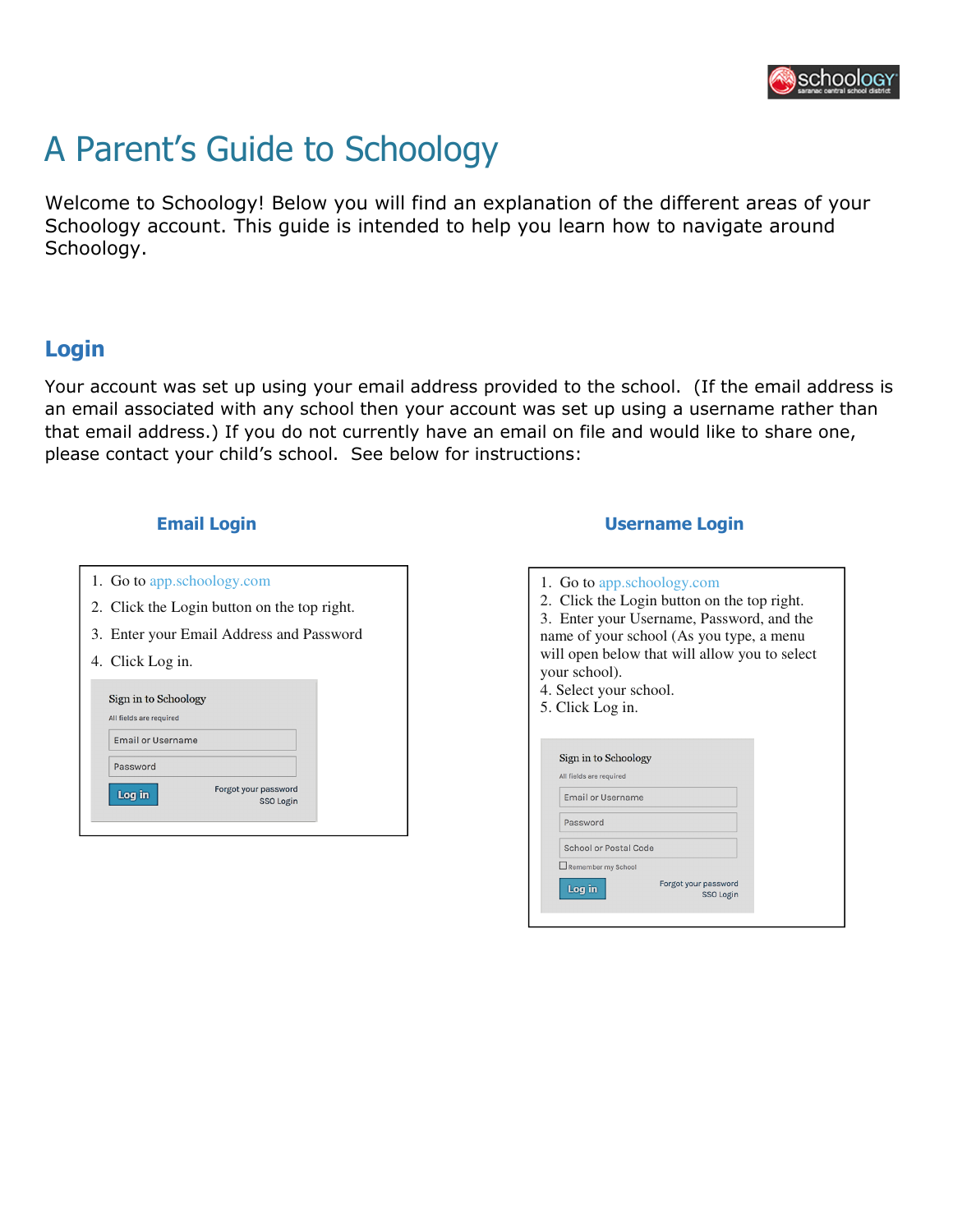

# A Parent's Guide to Schoology

Welcome to Schoology! Below you will find an explanation of the different areas of your Schoology account. This guide is intended to help you learn how to navigate around Schoology.

## Login

Your account was set up using your email address provided to the school. (If the email address is an email associated with any school then your account was set up using a username rather than that email address.) If you do not currently have an email on file and would like to share one, please contact your child's school. See below for instructions:

- 1. Go to app.schoology.com
- 2. Click the Login button on the top right.
- 3. Enter your Email Address and Password
- 4. Click Log in.

| Sign in to Schoology    |                      |
|-------------------------|----------------------|
| All fields are required |                      |
| Email or Username       |                      |
| Password                |                      |
| Log in                  | Forgot your password |
|                         | SSO Login            |

#### Email Login Username Login

| 1. Go to app.schoology.com                    |  |  |  |  |
|-----------------------------------------------|--|--|--|--|
| 2. Click the Login button on the top right.   |  |  |  |  |
| 3. Enter your Username, Password, and the     |  |  |  |  |
| name of your school (As you type, a menu      |  |  |  |  |
| will open below that will allow you to select |  |  |  |  |
| your school).                                 |  |  |  |  |
|                                               |  |  |  |  |
| 4. Select your school.                        |  |  |  |  |
| 5. Click Log in.                              |  |  |  |  |
|                                               |  |  |  |  |
|                                               |  |  |  |  |
| Sign in to Schoology                          |  |  |  |  |
| All fields are required                       |  |  |  |  |
| <b>Email or Username</b>                      |  |  |  |  |
| Password                                      |  |  |  |  |
|                                               |  |  |  |  |
| School or Postal Code                         |  |  |  |  |
| Remember my School                            |  |  |  |  |
| Forgot your password<br>Log in                |  |  |  |  |
| SSO Login                                     |  |  |  |  |
|                                               |  |  |  |  |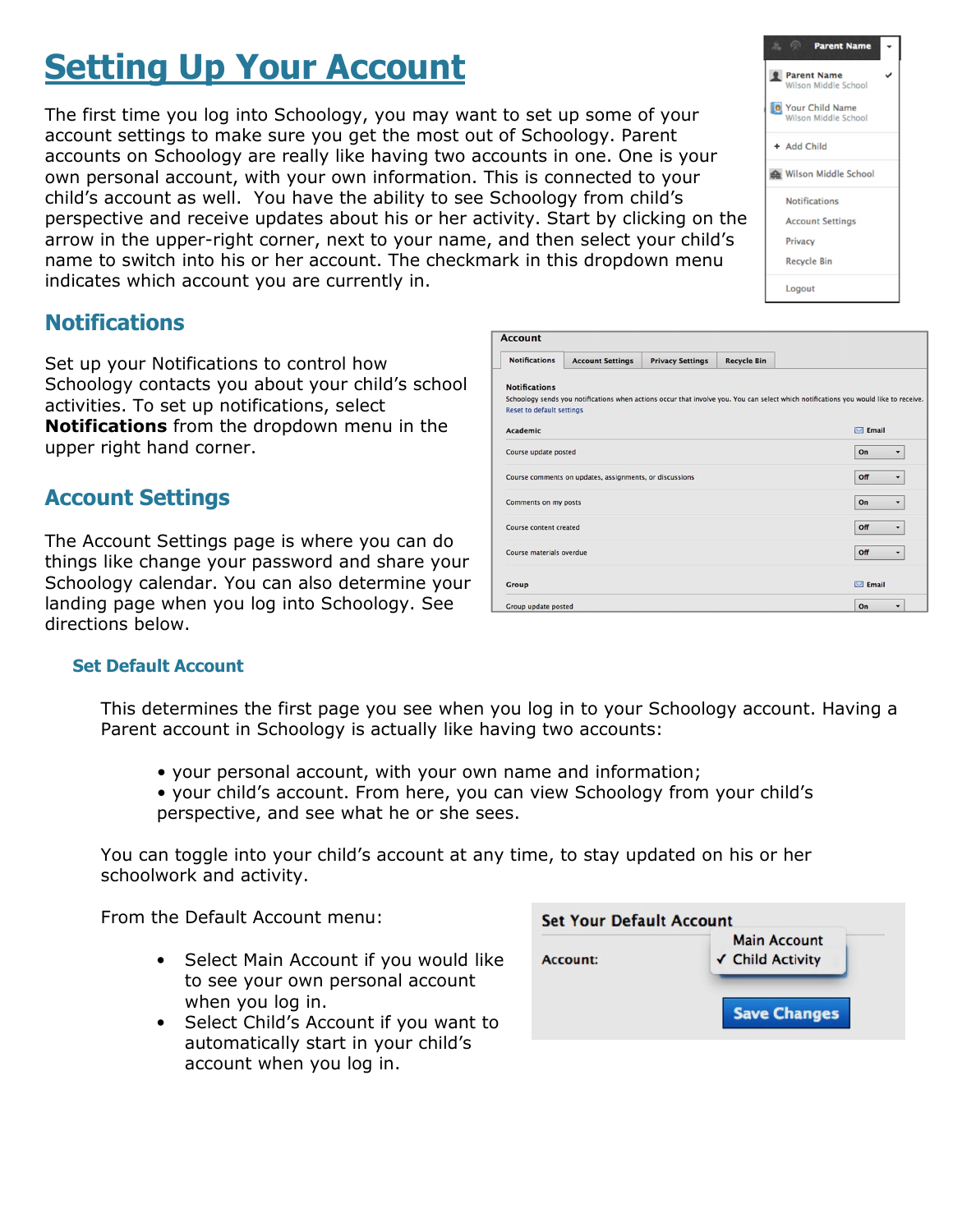# **Setting Up Your Account**

The first time you log into Schoology, you may want to set up some of your account settings to make sure you get the most out of Schoology. Parent accounts on Schoology are really like having two accounts in one. One is your own personal account, with your own information. This is connected to your child's account as well. You have the ability to see Schoology from child's perspective and receive updates about his or her activity. Start by clicking on the arrow in the upper-right corner, next to your name, and then select your child's name to switch into his or her account. The checkmark in this dropdown menu indicates which account you are currently in.

## **Notifications**

Set up your Notifications to control how Schoology contacts you about your child's school activities. To set up notifications, select **Notifications** from the dropdown menu in the upper right hand corner.

## Account Settings

The Account Settings page is where you can do things like change your password and share your Schoology calendar. You can also determine your landing page when you log into Schoology. See directions below.

#### Set Default Account

This determines the first page you see when you log in to your Schoology account. Having a Parent account in Schoology is actually like having two accounts:

**Account** 

**Notifications** 

**Reset to default settings** Academic

Course update posted

Comments on my posts

Course content created

Course materials overdue

Group update posted

Group

Notifications Account Settings Privacy Settings

Course comments on updates, assignments, or discussion

- your personal account, with your own name and information;
- your child's account. From here, you can view Schoology from your child's perspective, and see what he or she sees.

You can toggle into your child's account at any time, to stay updated on his or her schoolwork and activity.

From the Default Account menu:

- Select Main Account if you would like to see your own personal account when you log in.
- Select Child's Account if you want to automatically start in your child's account when you log in.



**Recycle Bin** 

Schoology sends you notifications when actions occur that involve you. You can select which notifications you would like to receive



 $\boxdot$  Email

 $\bar{\phantom{a}}$ 

 $\overline{\phantom{0}}$ 

 $\vert$ 

 $\overline{\phantom{a}}$ 

 $\bullet$ 

 $|$  On

**Off** 

 $|_{\text{On}}$ 

**Off** 

**Off** 

 $\blacksquare$  Email

 $\boxed{on}$   $\rightarrow$ 

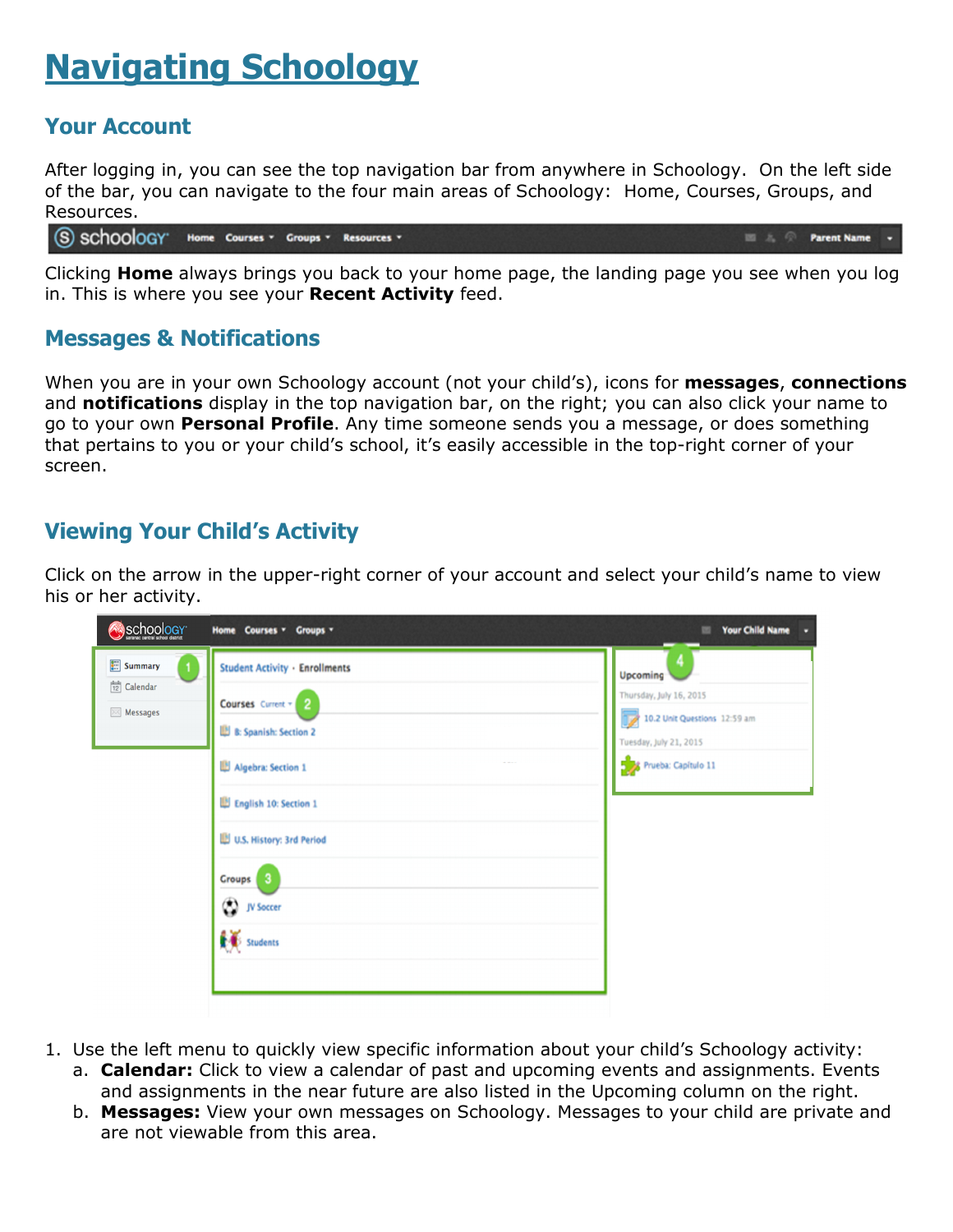# Navigating Schoology

## Your Account

After logging in, you can see the top navigation bar from anywhere in Schoology. On the left side of the bar, you can navigate to the four main areas of Schoology: Home, Courses, Groups, and Resources.

S SCHOOLOGY" Home Courses . Groups . Resources . **Parent Name** 

Clicking **Home** always brings you back to your home page, the landing page you see when you log in. This is where you see your Recent Activity feed.

#### Messages & Notifications

When you are in your own Schoology account (not your child's), icons for messages, connections and notifications display in the top navigation bar, on the right; you can also click your name to go to your own Personal Profile. Any time someone sends you a message, or does something that pertains to you or your child's school, it's easily accessible in the top-right corner of your screen.

## Viewing Your Child's Activity

Click on the arrow in the upper-right corner of your account and select your child's name to view his or her activity.

| Schoology                                                              | Home Courses v Groups v                                                                                                                                                                                         | <b>Your Child Name</b>                                                                                               |
|------------------------------------------------------------------------|-----------------------------------------------------------------------------------------------------------------------------------------------------------------------------------------------------------------|----------------------------------------------------------------------------------------------------------------------|
| <b>ED</b> Summary<br>$\frac{d-1}{12}$ Calendar<br>$\boxtimes$ Messages | <b>Student Activity · Enrollments</b><br>Courses Current = 2<br>B: Spanish: Section 2<br>Algebra: Section 1<br>English 10: Section 1<br>U.S. History: 3rd Period<br>-3<br>Groups  <br>(C) JV Soccer<br>Students | Upcoming<br>Thursday, July 16, 2015<br>10.2 Unit Questions 12:59 am<br>Tuesday, July 21, 2015<br>Prueba: Capítulo 11 |

- 1. Use the left menu to quickly view specific information about your child's Schoology activity:
	- a. **Calendar:** Click to view a calendar of past and upcoming events and assignments. Events and assignments in the near future are also listed in the Upcoming column on the right.
	- b. Messages: View your own messages on Schoology. Messages to your child are private and are not viewable from this area.